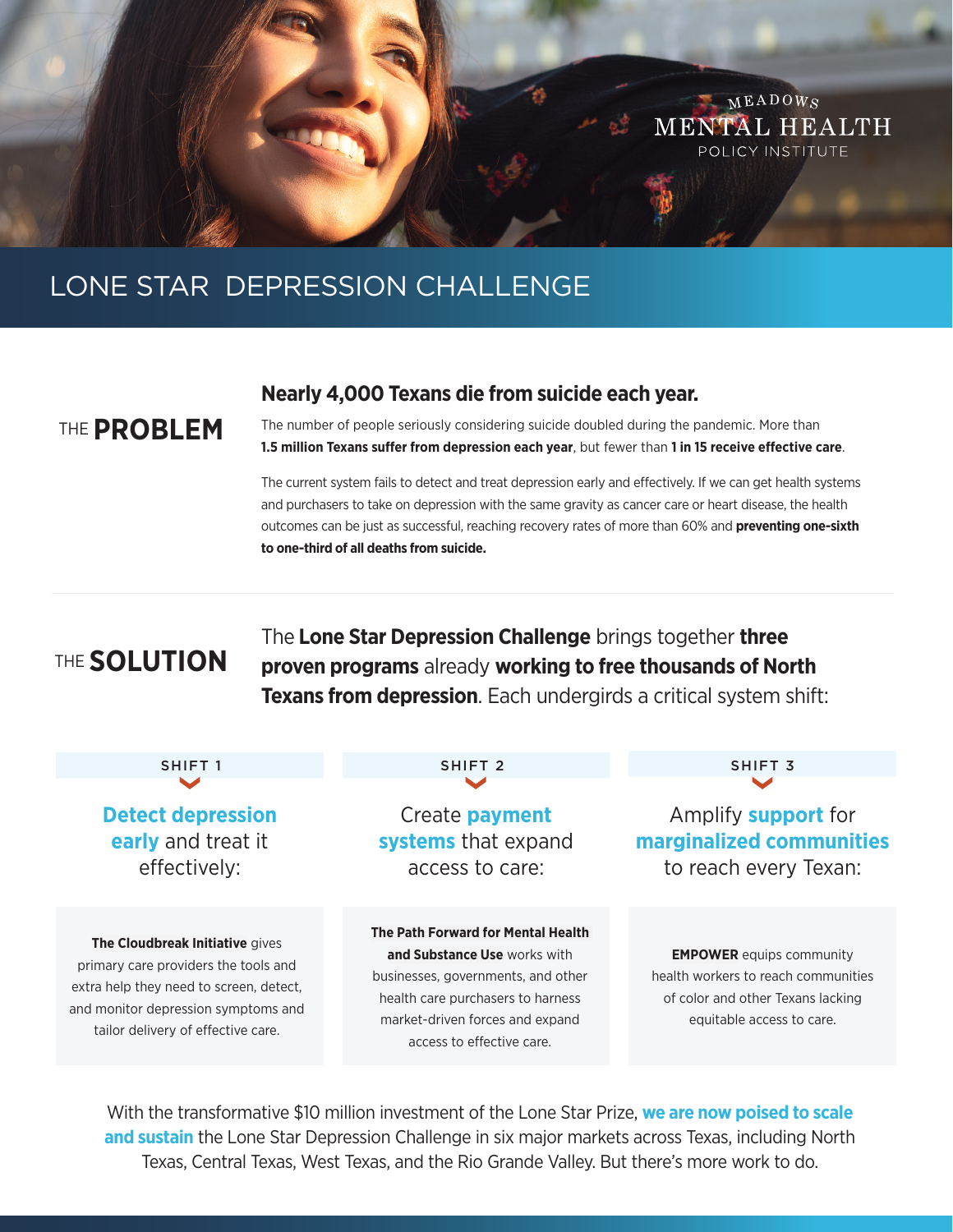

# LONE STAR DEPRESSION CHALLENGE

### THE **PROBLEM**

#### **Nearly 4,000 Texans die from suicide each year.**

The number of people seriously considering suicide doubled during the pandemic. More than **1.5 million Texans suffer from depression each year**, but fewer than **1 in 15 receive effective care**.

The current system fails to detect and treat depression early and effectively. If we can get health systems and purchasers to take on depression with the same gravity as cancer care or heart disease, the health outcomes can be just as successful, reaching recovery rates of more than 60% and **preventing one-sixth to one-third of all deaths from suicide.**

## THE **SOLUTION**

The **Lone Star Depression Challenge** brings together **three proven programs** already **working to free thousands of North Texans from depression**. Each undergirds a critical system shift:

| SHIFT <sub>1</sub>                                                                                                                                                                              | SHIFT <sub>2</sub>                                                                                                                                                                                            | SHIFT <sub>3</sub>                                                                                                                       |
|-------------------------------------------------------------------------------------------------------------------------------------------------------------------------------------------------|---------------------------------------------------------------------------------------------------------------------------------------------------------------------------------------------------------------|------------------------------------------------------------------------------------------------------------------------------------------|
| <b>Detect depression</b>                                                                                                                                                                        | Create <b>payment</b>                                                                                                                                                                                         | Amplify <b>support</b> for                                                                                                               |
| early and treat it                                                                                                                                                                              | systems that expand                                                                                                                                                                                           | marginalized communities                                                                                                                 |
| effectively:                                                                                                                                                                                    | access to care:                                                                                                                                                                                               | to reach every Texan:                                                                                                                    |
| The Cloudbreak Initiative gives<br>primary care providers the tools and<br>extra help they need to screen, detect,<br>and monitor depression symptoms and<br>tailor delivery of effective care. | The Path Forward for Mental Health<br>and Substance Use works with<br>businesses, governments, and other<br>health care purchasers to harness<br>market-driven forces and expand<br>access to effective care. | <b>EMPOWER</b> equips community<br>health workers to reach communities<br>of color and other Texans lacking<br>equitable access to care. |

With the transformative \$10 million investment of the Lone Star Prize, **we are now poised to scale and sustain** the Lone Star Depression Challenge in six major markets across Texas, including North Texas, Central Texas, West Texas, and the Rio Grande Valley. But there's more work to do.